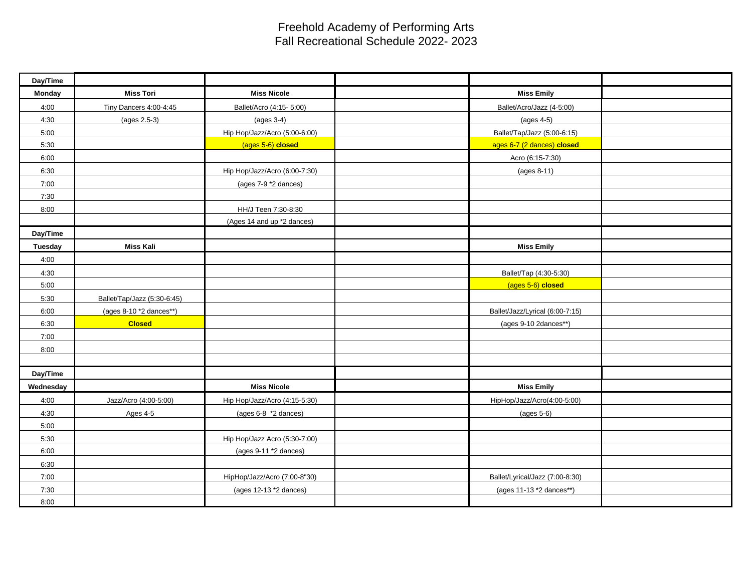## Freehold Academy of Performing Arts Fall Recreational Schedule 2022- 2023

| Day/Time  |                             |                               |                                 |
|-----------|-----------------------------|-------------------------------|---------------------------------|
| Monday    | <b>Miss Tori</b>            | <b>Miss Nicole</b>            | <b>Miss Emily</b>               |
| 4:00      | Tiny Dancers 4:00-4:45      | Ballet/Acro (4:15- 5:00)      | Ballet/Acro/Jazz (4-5:00)       |
| 4:30      | $(ages 2.5-3)$              | $(ages 3-4)$                  | $(ages 4-5)$                    |
| 5:00      |                             | Hip Hop/Jazz/Acro (5:00-6:00) | Ballet/Tap/Jazz (5:00-6:15)     |
| 5:30      |                             | (ages 5-6) closed             | ages 6-7 (2 dances) closed      |
| 6:00      |                             |                               | Acro (6:15-7:30)                |
| 6:30      |                             | Hip Hop/Jazz/Acro (6:00-7:30) | $(ages 8-11)$                   |
| 7:00      |                             | (ages 7-9 *2 dances)          |                                 |
| 7:30      |                             |                               |                                 |
| 8:00      |                             | HH/J Teen 7:30-8:30           |                                 |
|           |                             | (Ages 14 and up *2 dances)    |                                 |
| Day/Time  |                             |                               |                                 |
| Tuesday   | <b>Miss Kali</b>            |                               | <b>Miss Emily</b>               |
| 4:00      |                             |                               |                                 |
| 4:30      |                             |                               | Ballet/Tap (4:30-5:30)          |
| 5:00      |                             |                               | (ages 5-6) closed               |
| 5:30      | Ballet/Tap/Jazz (5:30-6:45) |                               |                                 |
| 6:00      | (ages 8-10 *2 dances**)     |                               | Ballet/Jazz/Lyrical (6:00-7:15) |
| 6:30      | <b>Closed</b>               |                               | (ages 9-10 2dances**)           |
| 7:00      |                             |                               |                                 |
| 8:00      |                             |                               |                                 |
|           |                             |                               |                                 |
| Day/Time  |                             |                               |                                 |
| Wednesday |                             | <b>Miss Nicole</b>            | <b>Miss Emily</b>               |
| 4:00      | Jazz/Acro (4:00-5:00)       | Hip Hop/Jazz/Acro (4:15-5:30) | HipHop/Jazz/Acro(4:00-5:00)     |
| 4:30      | Ages 4-5                    | (ages 6-8 *2 dances)          | $(ages 5-6)$                    |
| 5:00      |                             |                               |                                 |
| 5:30      |                             | Hip Hop/Jazz Acro (5:30-7:00) |                                 |
| 6:00      |                             | (ages 9-11 *2 dances)         |                                 |
| 6:30      |                             |                               |                                 |
| 7:00      |                             | HipHop/Jazz/Acro (7:00-8"30)  | Ballet/Lyrical/Jazz (7:00-8:30) |
| 7:30      |                             | (ages 12-13 *2 dances)        | (ages 11-13 *2 dances**)        |
| 8:00      |                             |                               |                                 |